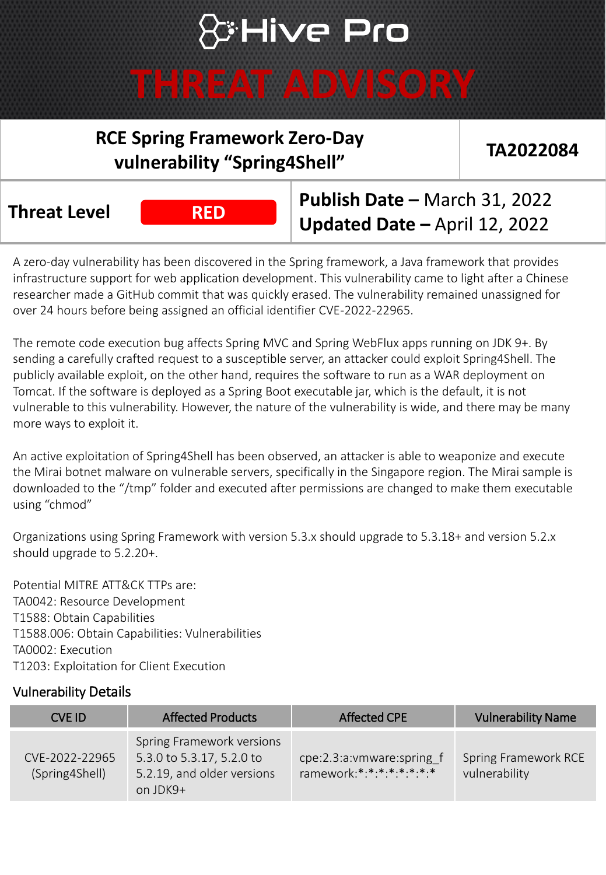## **S:Hive Pro**

### **THREAT ADVISORY**

### **RCE Spring Framework Zero-Day vulnerability "Spring4Shell" TA2022084**

**Threat Level Publish Date –** March 31, 2022 **Updated Date -** April 12, 2022

A zero-day vulnerability has been discovered in the Spring framework, a Java framework that provides infrastructure support for web application development. This vulnerability came to light after a Chinese researcher made a GitHub commit that was quickly erased. The vulnerability remained unassigned for over 24 hours before being assigned an official identifier CVE-2022-22965.

The remote code execution bug affects Spring MVC and Spring WebFlux apps running on JDK 9+. By sending a carefully crafted request to a susceptible server, an attacker could exploit Spring4Shell. The publicly available exploit, on the other hand, requires the software to run as a WAR deployment on Tomcat. If the software is deployed as a Spring Boot executable jar, which is the default, it is not vulnerable to this vulnerability. However, the nature of the vulnerability is wide, and there may be many more ways to exploit it.

An active exploitation of Spring4Shell has been observed, an attacker is able to weaponize and execute the Mirai botnet malware on vulnerable servers, specifically in the Singapore region. The Mirai sample is downloaded to the "/tmp" folder and executed after permissions are changed to make them executable using "chmod"

Organizations using Spring Framework with version 5.3.x should upgrade to 5.3.18+ and version 5.2.x should upgrade to 5.2.20+.

Potential MITRE ATT&CK TTPs are: TA0042: Resource Development T1588: Obtain Capabilities T1588.006: Obtain Capabilities: Vulnerabilities TA0002: Execution T1203: Exploitation for Client Execution

#### Vulnerability Details

| CVE ID                           | <b>Affected Products</b>                                                                         | <b>Affected CPE</b>                                       | <b>Vulnerability Name</b>                    |
|----------------------------------|--------------------------------------------------------------------------------------------------|-----------------------------------------------------------|----------------------------------------------|
| CVF-2022-22965<br>(Spring4Shell) | Spring Framework versions<br>5.3.0 to 5.3.17, 5.2.0 to<br>5.2.19, and older versions<br>on JDK9+ | cpe:2.3:a: vmware: spring f<br>ramework:*:*:*:*:*:*:*:*:* | <b>Spring Framework RCE</b><br>vulnerability |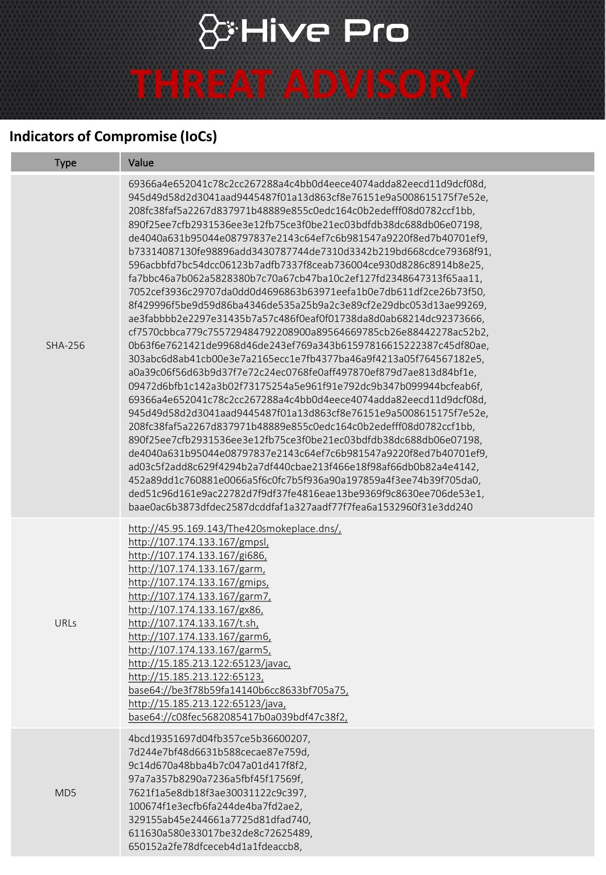# & Hive Pro

### **THREAT ADVISORY**

#### **Indicators of Compromise (IoCs)**

| <b>Type</b>     | Value                                                                                                                                                                                                                                                                                                                                                                                                                                                                                                                                                                                                                                                                                                                                                                                                                                                                                                                                                                                                                                                                                                                                                                                                                                                                                                                                                                                                                                                                                                                                                                                                                                                                                                                                                                                    |  |
|-----------------|------------------------------------------------------------------------------------------------------------------------------------------------------------------------------------------------------------------------------------------------------------------------------------------------------------------------------------------------------------------------------------------------------------------------------------------------------------------------------------------------------------------------------------------------------------------------------------------------------------------------------------------------------------------------------------------------------------------------------------------------------------------------------------------------------------------------------------------------------------------------------------------------------------------------------------------------------------------------------------------------------------------------------------------------------------------------------------------------------------------------------------------------------------------------------------------------------------------------------------------------------------------------------------------------------------------------------------------------------------------------------------------------------------------------------------------------------------------------------------------------------------------------------------------------------------------------------------------------------------------------------------------------------------------------------------------------------------------------------------------------------------------------------------------|--|
| <b>SHA-256</b>  | 69366a4e652041c78c2cc267288a4c4bb0d4eece4074adda82eecd11d9dcf08d,<br>945d49d58d2d3041aad9445487f01a13d863cf8e76151e9a5008615175f7e52e,<br>208fc38faf5a2267d837971b48889e855c0edc164c0b2edefff08d0782ccf1bb,<br>890f25ee7cfb2931536ee3e12fb75ce3f0be21ec03bdfdb38dc688db06e07198,<br>de4040a631b95044e08797837e2143c64ef7c6b981547a9220f8ed7b40701ef9,<br>b73314087130fe98896add3430787744de7310d3342b219bd668cdce79368f91,<br>596acbbfd7bc54dcc06123b7adfb7337f8ceab736004ce930d8286c8914b8e25,<br>fa7bbc46a7b062a5828380b7c70a67cb47ba10c2ef127fd2348647313f65aa11,<br>7052cef3936c29707da0dd0d4696863b63971eefa1b0e7db611df2ce26b73f50,<br>8f429996f5be9d59d86ba4346de535a25b9a2c3e89cf2e29dbc053d13ae99269,<br>ae3fabbbb2e2297e31435b7a57c486f0eaf0f01738da8d0ab68214dc92373666,<br>cf7570cbbca779c755729484792208900a89564669785cb26e88442278ac52b2,<br>0b63f6e7621421de9968d46de243ef769a343b61597816615222387c45df80ae,<br>303abc6d8ab41cb00e3e7a2165ecc1e7fb4377ba46a9f4213a05f764567182e5,<br>a0a39c06f56d63b9d37f7e72c24ec0768fe0aff497870ef879d7ae813d84bf1e,<br>09472d6bfb1c142a3b02f73175254a5e961f91e792dc9b347b099944bcfeab6f,<br>69366a4e652041c78c2cc267288a4c4bb0d4eece4074adda82eecd11d9dcf08d,<br>945d49d58d2d3041aad9445487f01a13d863cf8e76151e9a5008615175f7e52e,<br>208fc38faf5a2267d837971b48889e855c0edc164c0b2edefff08d0782ccf1bb,<br>890f25ee7cfb2931536ee3e12fb75ce3f0be21ec03bdfdb38dc688db06e07198,<br>de4040a631b95044e08797837e2143c64ef7c6b981547a9220f8ed7b40701ef9,<br>ad03c5f2add8c629f4294b2a7df440cbae213f466e18f98af66db0b82a4e4142,<br>452a89dd1c760881e0066a5f6c0fc7b5f936a90a197859a4f3ee74b39f705da0,<br>ded51c96d161e9ac22782d7f9df37fe4816eae13be9369f9c8630ee706de53e1,<br>baae0ac6b3873dfdec2587dcddfaf1a327aadf77f7fea6a1532960f31e3dd240 |  |
| <b>URLs</b>     | http://45.95.169.143/The420smokeplace.dns/,<br>http://107.174.133.167/gmpsl,<br>http://107.174.133.167/gi686,<br>http://107.174.133.167/garm,<br>http://107.174.133.167/gmips,<br>http://107.174.133.167/garm7,<br>http://107.174.133.167/gx86,<br>http://107.174.133.167/t.sh,<br>http://107.174.133.167/garm6,<br>http://107.174.133.167/garm5,<br>http://15.185.213.122:65123/javac,<br>http://15.185.213.122:65123,<br>base64://be3f78b59fa14140b6cc8633bf705a75,<br>http://15.185.213.122:65123/java,<br>base64://c08fec5682085417b0a039bdf47c38f2,                                                                                                                                                                                                                                                                                                                                                                                                                                                                                                                                                                                                                                                                                                                                                                                                                                                                                                                                                                                                                                                                                                                                                                                                                                 |  |
| MD <sub>5</sub> | 4bcd19351697d04fb357ce5b36600207,<br>7d244e7bf48d6631b588cecae87e759d,<br>9c14d670a48bba4b7c047a01d417f8f2,<br>97a7a357b8290a7236a5fbf45f17569f,<br>7621f1a5e8db18f3ae30031122c9c397,<br>100674f1e3ecfb6fa244de4ba7fd2ae2,<br>329155ab45e244661a7725d81dfad740,<br>611630a580e33017be32de8c72625489,<br>650152a2fe78dfceceb4d1a1fdeaccb8,                                                                                                                                                                                                                                                                                                                                                                                                                                                                                                                                                                                                                                                                                                                                                                                                                                                                                                                                                                                                                                                                                                                                                                                                                                                                                                                                                                                                                                                |  |